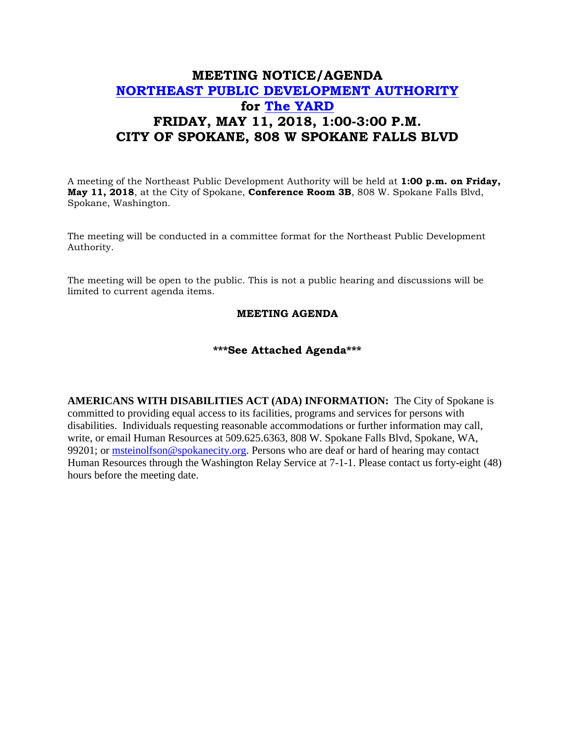## **MEETING NOTICE/AGENDA [NORTHEAST PUBLIC DEVELOPMENT AUTHORITY](https://beta.spokanecity.org/bcc/boards/northeast-public-development-authority/) for [The YARD](https://beta.spokanecity.org/projects/theyard/) FRIDAY, MAY 11, 2018, 1:00-3:00 P.M. CITY OF SPOKANE, 808 W SPOKANE FALLS BLVD**

A meeting of the Northeast Public Development Authority will be held at **1:00 p.m. on Friday, May 11, 2018**, at the City of Spokane, **Conference Room 3B**, 808 W. Spokane Falls Blvd, Spokane, Washington.

The meeting will be conducted in a committee format for the Northeast Public Development Authority.

The meeting will be open to the public. This is not a public hearing and discussions will be limited to current agenda items.

## **MEETING AGENDA**

## **\*\*\*See Attached Agenda\*\*\***

**AMERICANS WITH DISABILITIES ACT (ADA) INFORMATION:** The City of Spokane is committed to providing equal access to its facilities, programs and services for persons with disabilities. Individuals requesting reasonable accommodations or further information may call, write, or email Human Resources at 509.625.6363, 808 W. Spokane Falls Blvd, Spokane, WA, 99201; or [msteinolfson@spokanecity.org.](mailto:msteinolfson@spokanecity.org) Persons who are deaf or hard of hearing may contact Human Resources through the Washington Relay Service at 7-1-1. Please contact us forty-eight (48) hours before the meeting date.